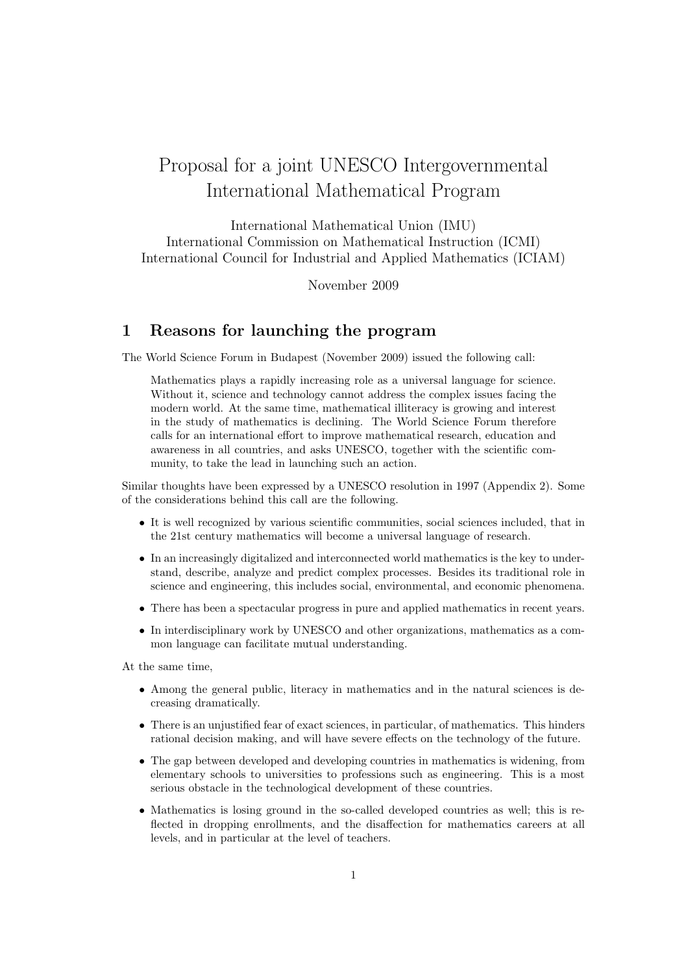# Proposal for a joint UNESCO Intergovernmental International Mathematical Program

International Mathematical Union (IMU) International Commission on Mathematical Instruction (ICMI) International Council for Industrial and Applied Mathematics (ICIAM)

November 2009

#### 1 Reasons for launching the program

The World Science Forum in Budapest (November 2009) issued the following call:

Mathematics plays a rapidly increasing role as a universal language for science. Without it, science and technology cannot address the complex issues facing the modern world. At the same time, mathematical illiteracy is growing and interest in the study of mathematics is declining. The World Science Forum therefore calls for an international effort to improve mathematical research, education and awareness in all countries, and asks UNESCO, together with the scientific community, to take the lead in launching such an action.

Similar thoughts have been expressed by a UNESCO resolution in 1997 (Appendix 2). Some of the considerations behind this call are the following.

- It is well recognized by various scientific communities, social sciences included, that in the 21st century mathematics will become a universal language of research.
- In an increasingly digitalized and interconnected world mathematics is the key to understand, describe, analyze and predict complex processes. Besides its traditional role in science and engineering, this includes social, environmental, and economic phenomena.
- There has been a spectacular progress in pure and applied mathematics in recent years.
- In interdisciplinary work by UNESCO and other organizations, mathematics as a common language can facilitate mutual understanding.

At the same time,

- Among the general public, literacy in mathematics and in the natural sciences is decreasing dramatically.
- There is an unjustified fear of exact sciences, in particular, of mathematics. This hinders rational decision making, and will have severe effects on the technology of the future.
- The gap between developed and developing countries in mathematics is widening, from elementary schools to universities to professions such as engineering. This is a most serious obstacle in the technological development of these countries.
- Mathematics is losing ground in the so-called developed countries as well; this is reflected in dropping enrollments, and the disaffection for mathematics careers at all levels, and in particular at the level of teachers.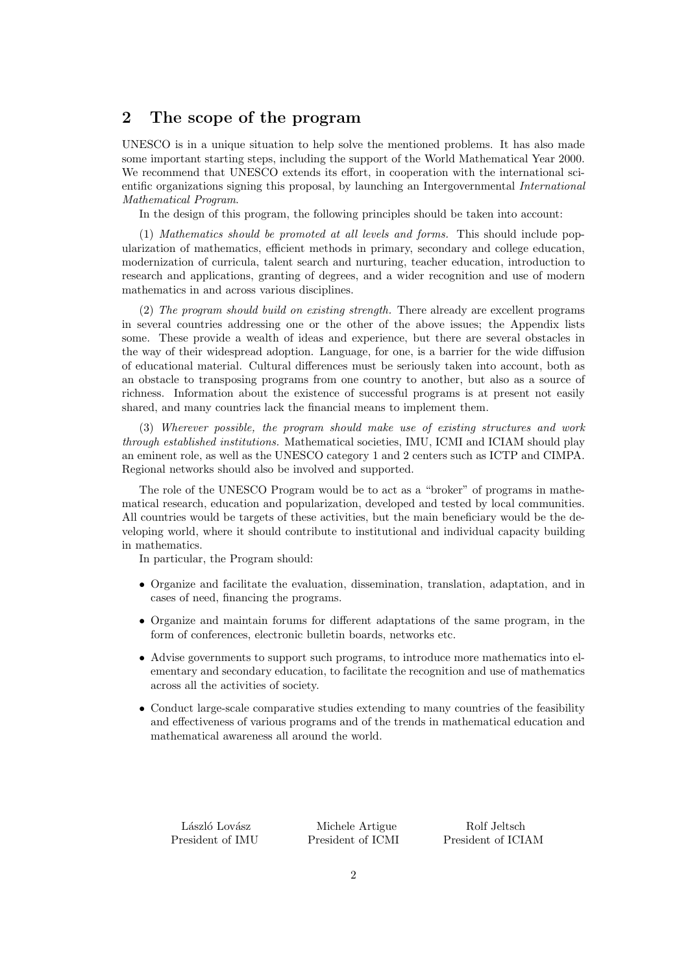#### 2 The scope of the program

UNESCO is in a unique situation to help solve the mentioned problems. It has also made some important starting steps, including the support of the World Mathematical Year 2000. We recommend that UNESCO extends its effort, in cooperation with the international scientific organizations signing this proposal, by launching an Intergovernmental *International Mathematical Program*.

In the design of this program, the following principles should be taken into account:

(1) *Mathematics should be promoted at all levels and forms.* This should include popularization of mathematics, efficient methods in primary, secondary and college education, modernization of curricula, talent search and nurturing, teacher education, introduction to research and applications, granting of degrees, and a wider recognition and use of modern mathematics in and across various disciplines.

(2) *The program should build on existing strength.* There already are excellent programs in several countries addressing one or the other of the above issues; the Appendix lists some. These provide a wealth of ideas and experience, but there are several obstacles in the way of their widespread adoption. Language, for one, is a barrier for the wide diffusion of educational material. Cultural differences must be seriously taken into account, both as an obstacle to transposing programs from one country to another, but also as a source of richness. Information about the existence of successful programs is at present not easily shared, and many countries lack the financial means to implement them.

(3) *Wherever possible, the program should make use of existing structures and work through established institutions.* Mathematical societies, IMU, ICMI and ICIAM should play an eminent role, as well as the UNESCO category 1 and 2 centers such as ICTP and CIMPA. Regional networks should also be involved and supported.

The role of the UNESCO Program would be to act as a "broker" of programs in mathematical research, education and popularization, developed and tested by local communities. All countries would be targets of these activities, but the main beneficiary would be the developing world, where it should contribute to institutional and individual capacity building in mathematics.

In particular, the Program should:

- Organize and facilitate the evaluation, dissemination, translation, adaptation, and in cases of need, financing the programs.
- Organize and maintain forums for different adaptations of the same program, in the form of conferences, electronic bulletin boards, networks etc.
- Advise governments to support such programs, to introduce more mathematics into elementary and secondary education, to facilitate the recognition and use of mathematics across all the activities of society.
- Conduct large-scale comparative studies extending to many countries of the feasibility and effectiveness of various programs and of the trends in mathematical education and mathematical awareness all around the world.

| László Lovász    |  |
|------------------|--|
| President of IMU |  |

Michele Artigue Rolf Jeltsch

President of ICMI President of ICIAM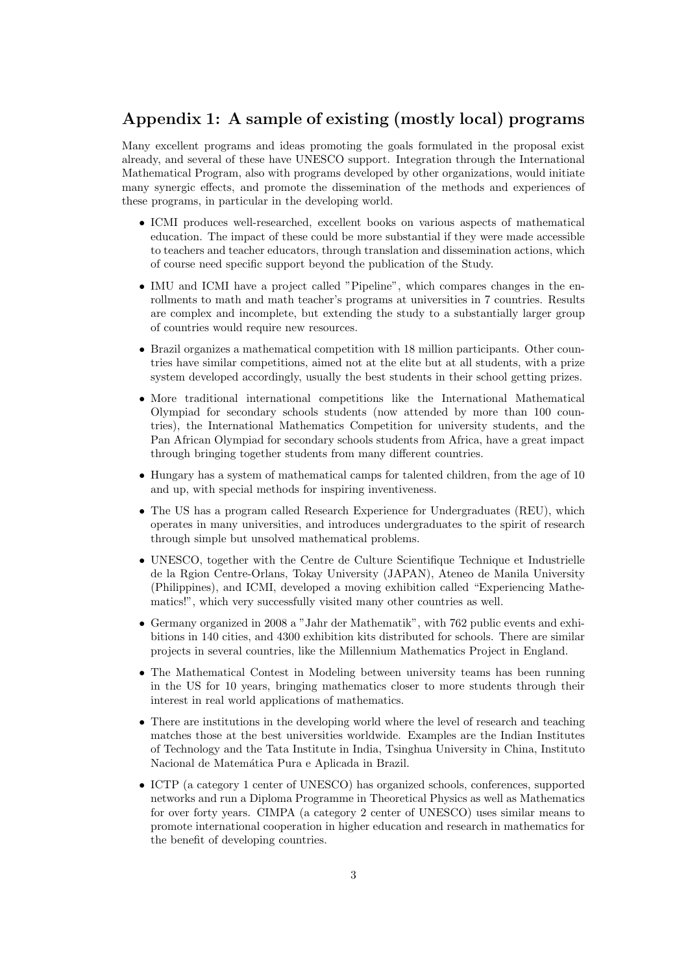### Appendix 1: A sample of existing (mostly local) programs

Many excellent programs and ideas promoting the goals formulated in the proposal exist already, and several of these have UNESCO support. Integration through the International Mathematical Program, also with programs developed by other organizations, would initiate many synergic effects, and promote the dissemination of the methods and experiences of these programs, in particular in the developing world.

- *•* ICMI produces well-researched, excellent books on various aspects of mathematical education. The impact of these could be more substantial if they were made accessible to teachers and teacher educators, through translation and dissemination actions, which of course need specific support beyond the publication of the Study.
- IMU and ICMI have a project called "Pipeline", which compares changes in the enrollments to math and math teacher's programs at universities in 7 countries. Results are complex and incomplete, but extending the study to a substantially larger group of countries would require new resources.
- *•* Brazil organizes a mathematical competition with 18 million participants. Other countries have similar competitions, aimed not at the elite but at all students, with a prize system developed accordingly, usually the best students in their school getting prizes.
- *•* More traditional international competitions like the International Mathematical Olympiad for secondary schools students (now attended by more than 100 countries), the International Mathematics Competition for university students, and the Pan African Olympiad for secondary schools students from Africa, have a great impact through bringing together students from many different countries.
- *•* Hungary has a system of mathematical camps for talented children, from the age of 10 and up, with special methods for inspiring inventiveness.
- The US has a program called Research Experience for Undergraduates (REU), which operates in many universities, and introduces undergraduates to the spirit of research through simple but unsolved mathematical problems.
- UNESCO, together with the Centre de Culture Scientifique Technique et Industrielle de la Rgion Centre-Orlans, Tokay University (JAPAN), Ateneo de Manila University (Philippines), and ICMI, developed a moving exhibition called "Experiencing Mathematics!", which very successfully visited many other countries as well.
- *•* Germany organized in 2008 a "Jahr der Mathematik", with 762 public events and exhibitions in 140 cities, and 4300 exhibition kits distributed for schools. There are similar projects in several countries, like the Millennium Mathematics Project in England.
- The Mathematical Contest in Modeling between university teams has been running in the US for 10 years, bringing mathematics closer to more students through their interest in real world applications of mathematics.
- There are institutions in the developing world where the level of research and teaching matches those at the best universities worldwide. Examples are the Indian Institutes of Technology and the Tata Institute in India, Tsinghua University in China, Instituto Nacional de Matemática Pura e Aplicada in Brazil.
- ICTP (a category 1 center of UNESCO) has organized schools, conferences, supported networks and run a Diploma Programme in Theoretical Physics as well as Mathematics for over forty years. CIMPA (a category 2 center of UNESCO) uses similar means to promote international cooperation in higher education and research in mathematics for the benefit of developing countries.